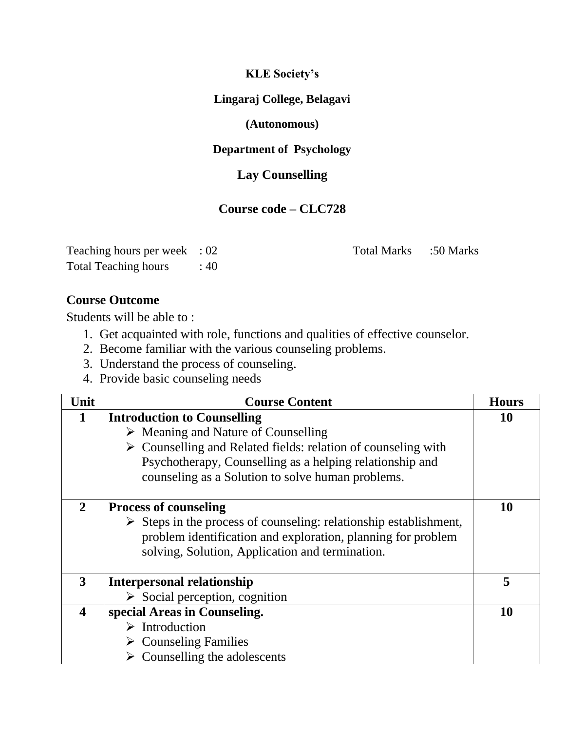**KLE Society's**

#### **Lingaraj College, Belagavi**

#### **(Autonomous)**

### **Department of Psychology**

# **Lay Counselling**

## **Course code – CLC728**

| Teaching hours per week : 02 |       |
|------------------------------|-------|
| <b>Total Teaching hours</b>  | : 40. |

Total Marks :50 Marks

#### **Course Outcome**

Students will be able to :

- 1. Get acquainted with role, functions and qualities of effective counselor.
- 2. Become familiar with the various counseling problems.
- 3. Understand the process of counseling.
- 4. Provide basic counseling needs

| Unit                    | <b>Course Content</b>                                                            | <b>Hours</b> |
|-------------------------|----------------------------------------------------------------------------------|--------------|
| 1                       | <b>Introduction to Counselling</b>                                               | 10           |
|                         | $\triangleright$ Meaning and Nature of Counselling                               |              |
|                         | $\triangleright$ Counselling and Related fields: relation of counseling with     |              |
|                         | Psychotherapy, Counselling as a helping relationship and                         |              |
|                         | counseling as a Solution to solve human problems.                                |              |
|                         |                                                                                  |              |
| $\overline{2}$          | <b>Process of counseling</b>                                                     | 10           |
|                         | $\triangleright$ Steps in the process of counseling: relationship establishment, |              |
|                         | problem identification and exploration, planning for problem                     |              |
|                         | solving, Solution, Application and termination.                                  |              |
|                         |                                                                                  |              |
| 3                       | <b>Interpersonal relationship</b>                                                | 5            |
|                         | $\triangleright$ Social perception, cognition                                    |              |
| $\overline{\mathbf{4}}$ | special Areas in Counseling.                                                     | 10           |
|                         | $\triangleright$ Introduction                                                    |              |
|                         | $\triangleright$ Counseling Families                                             |              |
|                         | $\triangleright$ Counselling the adolescents                                     |              |